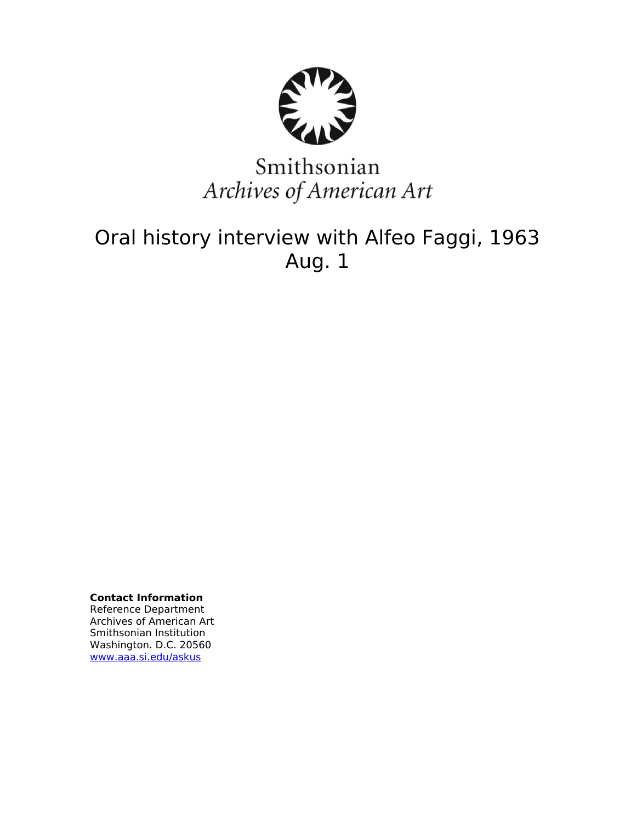

# Smithsonian Archives of American Art

## Oral history interview with Alfeo Faggi, 1963 Aug. 1

**Contact Information** Reference Department Archives of American Art Smithsonian Institution Washington. D.C. 20560 [www.aaa.si.edu/askus](http://www.aaa.si.edu/askus)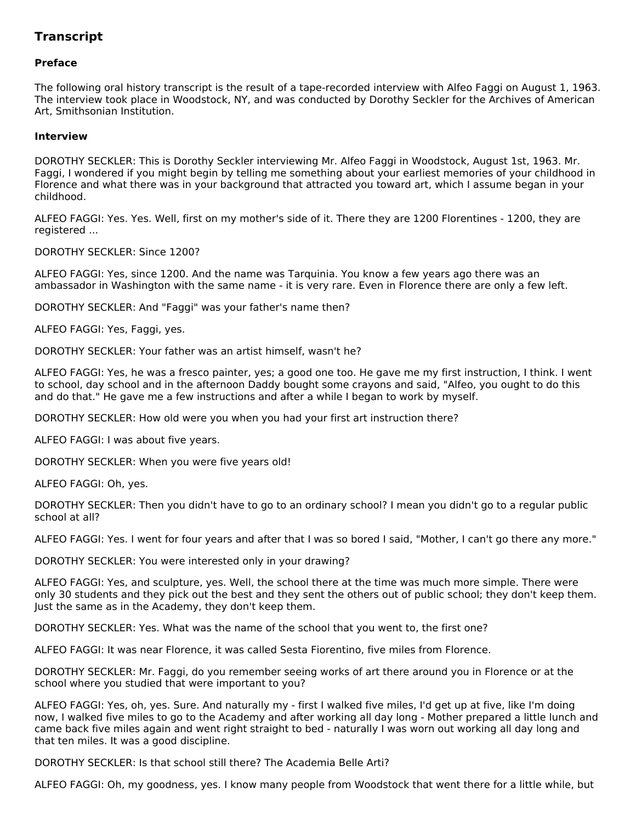### **Transcript**

#### **Preface**

The following oral history transcript is the result of a tape-recorded interview with Alfeo Faggi on August 1, 1963. The interview took place in Woodstock, NY, and was conducted by Dorothy Seckler for the Archives of American Art, Smithsonian Institution.

#### **Interview**

DOROTHY SECKLER: This is Dorothy Seckler interviewing Mr. Alfeo Faggi in Woodstock, August 1st, 1963. Mr. Faggi, I wondered if you might begin by telling me something about your earliest memories of your childhood in Florence and what there was in your background that attracted you toward art, which I assume began in your childhood.

ALFEO FAGGI: Yes. Yes. Well, first on my mother's side of it. There they are 1200 Florentines - 1200, they are registered ...

DOROTHY SECKLER: Since 1200?

ALFEO FAGGI: Yes, since 1200. And the name was Tarquinia. You know a few years ago there was an ambassador in Washington with the same name - it is very rare. Even in Florence there are only a few left.

DOROTHY SECKLER: And "Faggi" was your father's name then?

ALFEO FAGGI: Yes, Faggi, yes.

DOROTHY SECKLER: Your father was an artist himself, wasn't he?

ALFEO FAGGI: Yes, he was a fresco painter, yes; a good one too. He gave me my first instruction, I think. I went to school, day school and in the afternoon Daddy bought some crayons and said, "Alfeo, you ought to do this and do that." He gave me a few instructions and after a while I began to work by myself.

DOROTHY SECKLER: How old were you when you had your first art instruction there?

ALFEO FAGGI: I was about five years.

DOROTHY SECKLER: When you were five years old!

ALFEO FAGGI: Oh, yes.

DOROTHY SECKLER: Then you didn't have to go to an ordinary school? I mean you didn't go to a regular public school at all?

ALFEO FAGGI: Yes. I went for four years and after that I was so bored I said, "Mother, I can't go there any more."

DOROTHY SECKLER: You were interested only in your drawing?

ALFEO FAGGI: Yes, and sculpture, yes. Well, the school there at the time was much more simple. There were only 30 students and they pick out the best and they sent the others out of public school; they don't keep them. Just the same as in the Academy, they don't keep them.

DOROTHY SECKLER: Yes. What was the name of the school that you went to, the first one?

ALFEO FAGGI: It was near Florence, it was called Sesta Fiorentino, five miles from Florence.

DOROTHY SECKLER: Mr. Faggi, do you remember seeing works of art there around you in Florence or at the school where you studied that were important to you?

ALFEO FAGGI: Yes, oh, yes. Sure. And naturally my - first I walked five miles, I'd get up at five, like I'm doing now, I walked five miles to go to the Academy and after working all day long - Mother prepared a little lunch and came back five miles again and went right straight to bed - naturally I was worn out working all day long and that ten miles. It was a good discipline.

DOROTHY SECKLER: Is that school still there? The Academia Belle Arti?

ALFEO FAGGI: Oh, my goodness, yes. I know many people from Woodstock that went there for a little while, but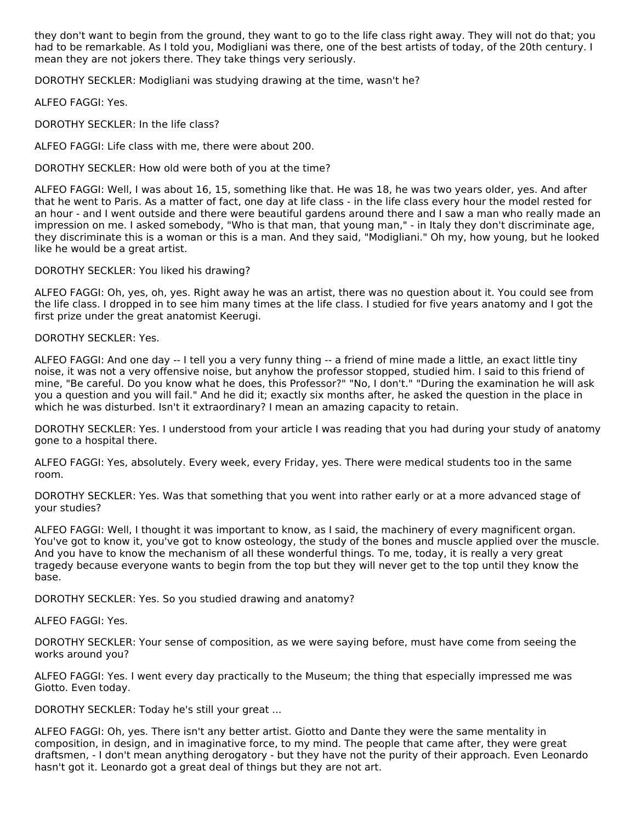they don't want to begin from the ground, they want to go to the life class right away. They will not do that; you had to be remarkable. As I told you, Modigliani was there, one of the best artists of today, of the 20th century. I mean they are not jokers there. They take things very seriously.

DOROTHY SECKLER: Modigliani was studying drawing at the time, wasn't he?

ALFEO FAGGI: Yes.

DOROTHY SECKLER: In the life class?

ALFEO FAGGI: Life class with me, there were about 200.

DOROTHY SECKLER: How old were both of you at the time?

ALFEO FAGGI: Well, I was about 16, 15, something like that. He was 18, he was two years older, yes. And after that he went to Paris. As a matter of fact, one day at life class - in the life class every hour the model rested for an hour - and I went outside and there were beautiful gardens around there and I saw a man who really made an impression on me. I asked somebody, "Who is that man, that young man," - in Italy they don't discriminate age, they discriminate this is a woman or this is a man. And they said, "Modigliani." Oh my, how young, but he looked like he would be a great artist.

DOROTHY SECKLER: You liked his drawing?

ALFEO FAGGI: Oh, yes, oh, yes. Right away he was an artist, there was no question about it. You could see from the life class. I dropped in to see him many times at the life class. I studied for five years anatomy and I got the first prize under the great anatomist Keerugi.

DOROTHY SECKLER: Yes.

ALFEO FAGGI: And one day -- I tell you a very funny thing -- a friend of mine made a little, an exact little tiny noise, it was not a very offensive noise, but anyhow the professor stopped, studied him. I said to this friend of mine, "Be careful. Do you know what he does, this Professor?" "No, I don't." "During the examination he will ask you a question and you will fail." And he did it; exactly six months after, he asked the question in the place in which he was disturbed. Isn't it extraordinary? I mean an amazing capacity to retain.

DOROTHY SECKLER: Yes. I understood from your article I was reading that you had during your study of anatomy gone to a hospital there.

ALFEO FAGGI: Yes, absolutely. Every week, every Friday, yes. There were medical students too in the same room.

DOROTHY SECKLER: Yes. Was that something that you went into rather early or at a more advanced stage of your studies?

ALFEO FAGGI: Well, I thought it was important to know, as I said, the machinery of every magnificent organ. You've got to know it, you've got to know osteology, the study of the bones and muscle applied over the muscle. And you have to know the mechanism of all these wonderful things. To me, today, it is really a very great tragedy because everyone wants to begin from the top but they will never get to the top until they know the base.

DOROTHY SECKLER: Yes. So you studied drawing and anatomy?

ALFEO FAGGI: Yes.

DOROTHY SECKLER: Your sense of composition, as we were saying before, must have come from seeing the works around you?

ALFEO FAGGI: Yes. I went every day practically to the Museum; the thing that especially impressed me was Giotto. Even today.

DOROTHY SECKLER: Today he's still your great ...

ALFEO FAGGI: Oh, yes. There isn't any better artist. Giotto and Dante they were the same mentality in composition, in design, and in imaginative force, to my mind. The people that came after, they were great draftsmen, - I don't mean anything derogatory - but they have not the purity of their approach. Even Leonardo hasn't got it. Leonardo got a great deal of things but they are not art.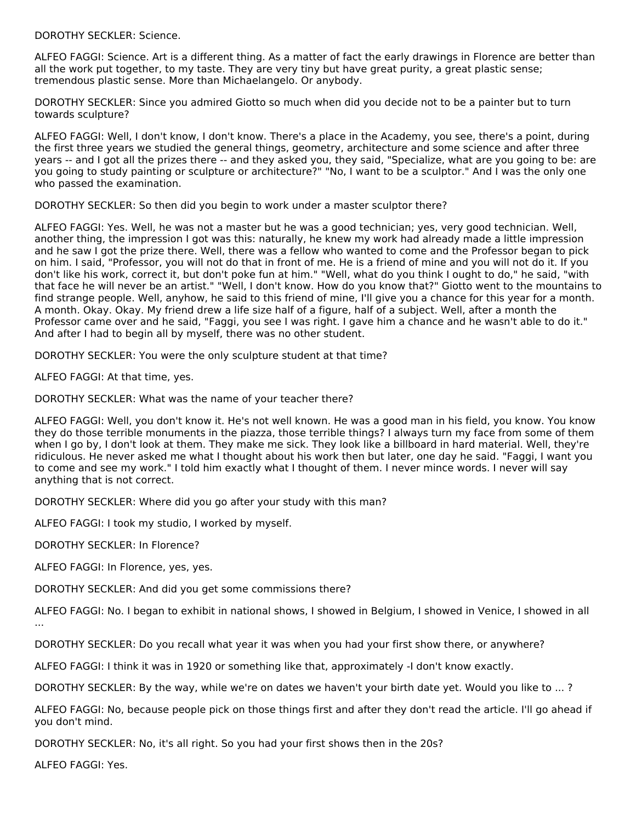DOROTHY SECKLER: Science.

ALFEO FAGGI: Science. Art is a different thing. As a matter of fact the early drawings in Florence are better than all the work put together, to my taste. They are very tiny but have great purity, a great plastic sense; tremendous plastic sense. More than Michaelangelo. Or anybody.

DOROTHY SECKLER: Since you admired Giotto so much when did you decide not to be a painter but to turn towards sculpture?

ALFEO FAGGI: Well, I don't know, I don't know. There's a place in the Academy, you see, there's a point, during the first three years we studied the general things, geometry, architecture and some science and after three years -- and I got all the prizes there -- and they asked you, they said, "Specialize, what are you going to be: are you going to study painting or sculpture or architecture?" "No, I want to be a sculptor." And I was the only one who passed the examination.

DOROTHY SECKLER: So then did you begin to work under a master sculptor there?

ALFEO FAGGI: Yes. Well, he was not a master but he was a good technician; yes, very good technician. Well, another thing, the impression I got was this: naturally, he knew my work had already made a little impression and he saw I got the prize there. Well, there was a fellow who wanted to come and the Professor began to pick on him. I said, "Professor, you will not do that in front of me. He is a friend of mine and you will not do it. If you don't like his work, correct it, but don't poke fun at him." "Well, what do you think I ought to do," he said, "with that face he will never be an artist." "Well, I don't know. How do you know that?" Giotto went to the mountains to find strange people. Well, anyhow, he said to this friend of mine, I'll give you a chance for this year for a month. A month. Okay. Okay. My friend drew a life size half of a figure, half of a subject. Well, after a month the Professor came over and he said, "Faggi, you see I was right. I gave him a chance and he wasn't able to do it." And after I had to begin all by myself, there was no other student.

DOROTHY SECKLER: You were the only sculpture student at that time?

ALFEO FAGGI: At that time, yes.

DOROTHY SECKLER: What was the name of your teacher there?

ALFEO FAGGI: Well, you don't know it. He's not well known. He was a good man in his field, you know. You know they do those terrible monuments in the piazza, those terrible things? I always turn my face from some of them when I go by, I don't look at them. They make me sick. They look like a billboard in hard material. Well, they're ridiculous. He never asked me what I thought about his work then but later, one day he said. "Faggi, I want you to come and see my work." I told him exactly what I thought of them. I never mince words. I never will say anything that is not correct.

DOROTHY SECKLER: Where did you go after your study with this man?

ALFEO FAGGI: I took my studio, I worked by myself.

DOROTHY SECKLER: In Florence?

ALFEO FAGGI: In Florence, yes, yes.

DOROTHY SECKLER: And did you get some commissions there?

ALFEO FAGGI: No. I began to exhibit in national shows, I showed in Belgium, I showed in Venice, I showed in all ...

DOROTHY SECKLER: Do you recall what year it was when you had your first show there, or anywhere?

ALFEO FAGGI: I think it was in 1920 or something like that, approximately -I don't know exactly.

DOROTHY SECKLER: By the way, while we're on dates we haven't your birth date yet. Would you like to ... ?

ALFEO FAGGI: No, because people pick on those things first and after they don't read the article. I'll go ahead if you don't mind.

DOROTHY SECKLER: No, it's all right. So you had your first shows then in the 20s?

ALFEO FAGGI: Yes.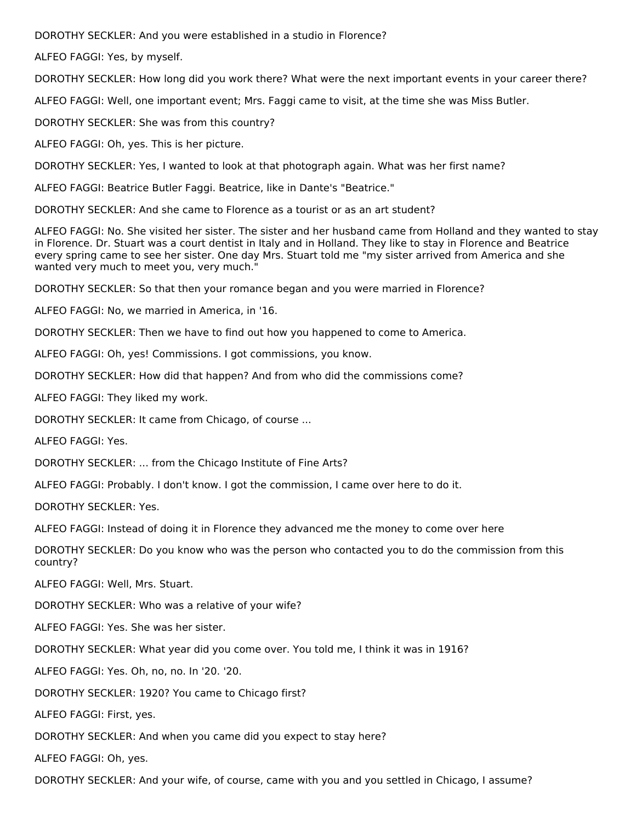DOROTHY SECKLER: And you were established in a studio in Florence?

ALFEO FAGGI: Yes, by myself.

DOROTHY SECKLER: How long did you work there? What were the next important events in your career there?

ALFEO FAGGI: Well, one important event; Mrs. Faggi came to visit, at the time she was Miss Butler.

DOROTHY SECKLER: She was from this country?

ALFEO FAGGI: Oh, yes. This is her picture.

DOROTHY SECKLER: Yes, I wanted to look at that photograph again. What was her first name?

ALFEO FAGGI: Beatrice Butler Faggi. Beatrice, like in Dante's "Beatrice."

DOROTHY SECKLER: And she came to Florence as a tourist or as an art student?

ALFEO FAGGI: No. She visited her sister. The sister and her husband came from Holland and they wanted to stay in Florence. Dr. Stuart was a court dentist in Italy and in Holland. They like to stay in Florence and Beatrice every spring came to see her sister. One day Mrs. Stuart told me "my sister arrived from America and she wanted very much to meet you, very much."

DOROTHY SECKLER: So that then your romance began and you were married in Florence?

ALFEO FAGGI: No, we married in America, in '16.

DOROTHY SECKLER: Then we have to find out how you happened to come to America.

ALFEO FAGGI: Oh, yes! Commissions. I got commissions, you know.

DOROTHY SECKLER: How did that happen? And from who did the commissions come?

ALFEO FAGGI: They liked my work.

DOROTHY SECKLER: It came from Chicago, of course ...

ALFEO FAGGI: Yes.

DOROTHY SECKLER: ... from the Chicago Institute of Fine Arts?

ALFEO FAGGI: Probably. I don't know. I got the commission, I came over here to do it.

DOROTHY SECKLER: Yes.

ALFEO FAGGI: Instead of doing it in Florence they advanced me the money to come over here

DOROTHY SECKLER: Do you know who was the person who contacted you to do the commission from this country?

ALFEO FAGGI: Well, Mrs. Stuart.

DOROTHY SECKLER: Who was a relative of your wife?

ALFEO FAGGI: Yes. She was her sister.

DOROTHY SECKLER: What year did you come over. You told me, I think it was in 1916?

ALFEO FAGGI: Yes. Oh, no, no. In '20. '20.

DOROTHY SECKLER: 1920? You came to Chicago first?

ALFEO FAGGI: First, yes.

DOROTHY SECKLER: And when you came did you expect to stay here?

ALFEO FAGGI: Oh, yes.

DOROTHY SECKLER: And your wife, of course, came with you and you settled in Chicago, I assume?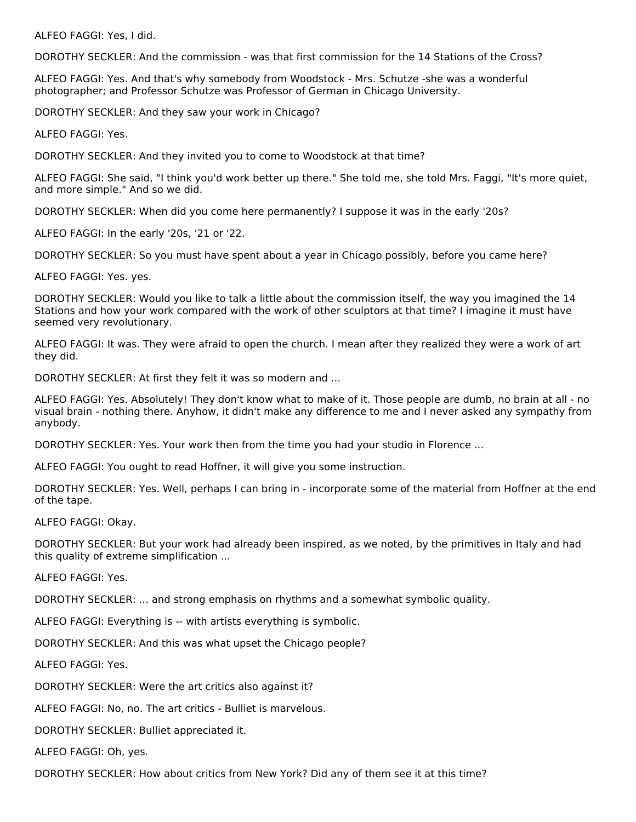ALFEO FAGGI: Yes, I did.

DOROTHY SECKLER: And the commission - was that first commission for the 14 Stations of the Cross?

ALFEO FAGGI: Yes. And that's why somebody from Woodstock - Mrs. Schutze -she was a wonderful photographer; and Professor Schutze was Professor of German in Chicago University.

DOROTHY SECKLER: And they saw your work in Chicago?

ALFEO FAGGI: Yes.

DOROTHY SECKLER: And they invited you to come to Woodstock at that time?

ALFEO FAGGI: She said, "I think you'd work better up there." She told me, she told Mrs. Faggi, "It's more quiet, and more simple." And so we did.

DOROTHY SECKLER: When did you come here permanently? I suppose it was in the early '20s?

ALFEO FAGGI: In the early '20s, '21 or '22.

DOROTHY SECKLER: So you must have spent about a year in Chicago possibly, before you came here?

ALFEO FAGGI: Yes. yes.

DOROTHY SECKLER: Would you like to talk a little about the commission itself, the way you imagined the 14 Stations and how your work compared with the work of other sculptors at that time? I imagine it must have seemed very revolutionary.

ALFEO FAGGI: It was. They were afraid to open the church. I mean after they realized they were a work of art they did.

DOROTHY SECKLER: At first they felt it was so modern and ...

ALFEO FAGGI: Yes. Absolutely! They don't know what to make of it. Those people are dumb, no brain at all - no visual brain - nothing there. Anyhow, it didn't make any difference to me and I never asked any sympathy from anybody.

DOROTHY SECKLER: Yes. Your work then from the time you had your studio in Florence ...

ALFEO FAGGI: You ought to read Hoffner, it will give you some instruction.

DOROTHY SECKLER: Yes. Well, perhaps I can bring in - incorporate some of the material from Hoffner at the end of the tape.

ALFEO FAGGI: Okay.

DOROTHY SECKLER: But your work had already been inspired, as we noted, by the primitives in Italy and had this quality of extreme simplification ...

ALFEO FAGGI: Yes.

DOROTHY SECKLER: ... and strong emphasis on rhythms and a somewhat symbolic quality.

ALFEO FAGGI: Everything is -- with artists everything is symbolic.

DOROTHY SECKLER: And this was what upset the Chicago people?

ALFEO FAGGI: Yes.

DOROTHY SECKLER: Were the art critics also against it?

ALFEO FAGGI: No, no. The art critics - Bulliet is marvelous.

DOROTHY SECKLER: Bulliet appreciated it.

ALFEO FAGGI: Oh, yes.

DOROTHY SECKLER: How about critics from New York? Did any of them see it at this time?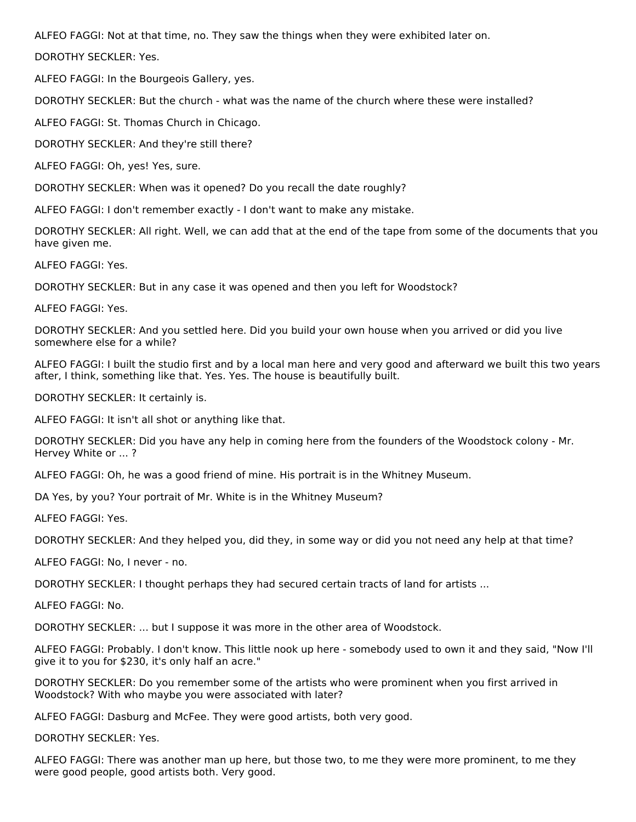ALFEO FAGGI: Not at that time, no. They saw the things when they were exhibited later on.

DOROTHY SECKLER: Yes.

ALFEO FAGGI: In the Bourgeois Gallery, yes.

DOROTHY SECKLER: But the church - what was the name of the church where these were installed?

ALFEO FAGGI: St. Thomas Church in Chicago.

DOROTHY SECKLER: And they're still there?

ALFEO FAGGI: Oh, yes! Yes, sure.

DOROTHY SECKLER: When was it opened? Do you recall the date roughly?

ALFEO FAGGI: I don't remember exactly - I don't want to make any mistake.

DOROTHY SECKLER: All right. Well, we can add that at the end of the tape from some of the documents that you have given me.

ALFEO FAGGI: Yes.

DOROTHY SECKLER: But in any case it was opened and then you left for Woodstock?

ALFEO FAGGI: Yes.

DOROTHY SECKLER: And you settled here. Did you build your own house when you arrived or did you live somewhere else for a while?

ALFEO FAGGI: I built the studio first and by a local man here and very good and afterward we built this two years after, I think, something like that. Yes. Yes. The house is beautifully built.

DOROTHY SECKLER: It certainly is.

ALFEO FAGGI: It isn't all shot or anything like that.

DOROTHY SECKLER: Did you have any help in coming here from the founders of the Woodstock colony - Mr. Hervey White or ... ?

ALFEO FAGGI: Oh, he was a good friend of mine. His portrait is in the Whitney Museum.

DA Yes, by you? Your portrait of Mr. White is in the Whitney Museum?

ALFEO FAGGI: Yes.

DOROTHY SECKLER: And they helped you, did they, in some way or did you not need any help at that time?

ALFEO FAGGI: No, I never - no.

DOROTHY SECKLER: I thought perhaps they had secured certain tracts of land for artists ...

ALFEO FAGGI: No.

DOROTHY SECKLER: ... but I suppose it was more in the other area of Woodstock.

ALFEO FAGGI: Probably. I don't know. This little nook up here - somebody used to own it and they said, "Now I'll give it to you for \$230, it's only half an acre."

DOROTHY SECKLER: Do you remember some of the artists who were prominent when you first arrived in Woodstock? With who maybe you were associated with later?

ALFEO FAGGI: Dasburg and McFee. They were good artists, both very good.

DOROTHY SECKLER: Yes.

ALFEO FAGGI: There was another man up here, but those two, to me they were more prominent, to me they were good people, good artists both. Very good.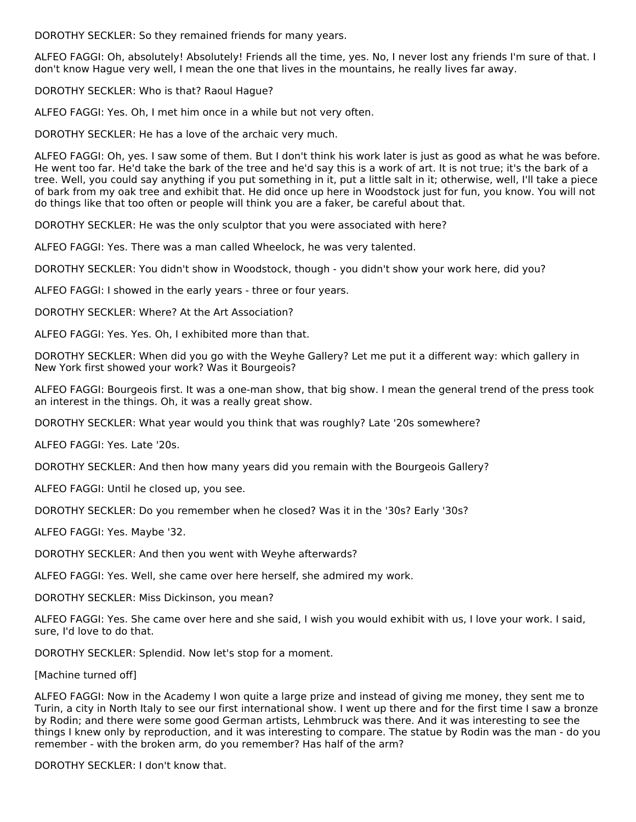DOROTHY SECKLER: So they remained friends for many years.

ALFEO FAGGI: Oh, absolutely! Absolutely! Friends all the time, yes. No, I never lost any friends I'm sure of that. I don't know Hague very well, I mean the one that lives in the mountains, he really lives far away.

DOROTHY SECKLER: Who is that? Raoul Hague?

ALFEO FAGGI: Yes. Oh, I met him once in a while but not very often.

DOROTHY SECKLER: He has a love of the archaic very much.

ALFEO FAGGI: Oh, yes. I saw some of them. But I don't think his work later is just as good as what he was before. He went too far. He'd take the bark of the tree and he'd say this is a work of art. It is not true; it's the bark of a tree. Well, you could say anything if you put something in it, put a little salt in it; otherwise, well, I'll take a piece of bark from my oak tree and exhibit that. He did once up here in Woodstock just for fun, you know. You will not do things like that too often or people will think you are a faker, be careful about that.

DOROTHY SECKLER: He was the only sculptor that you were associated with here?

ALFEO FAGGI: Yes. There was a man called Wheelock, he was very talented.

DOROTHY SECKLER: You didn't show in Woodstock, though - you didn't show your work here, did you?

ALFEO FAGGI: I showed in the early years - three or four years.

DOROTHY SECKLER: Where? At the Art Association?

ALFEO FAGGI: Yes. Yes. Oh, I exhibited more than that.

DOROTHY SECKLER: When did you go with the Weyhe Gallery? Let me put it a different way: which gallery in New York first showed your work? Was it Bourgeois?

ALFEO FAGGI: Bourgeois first. It was a one-man show, that big show. I mean the general trend of the press took an interest in the things. Oh, it was a really great show.

DOROTHY SECKLER: What year would you think that was roughly? Late '20s somewhere?

ALFEO FAGGI: Yes. Late '20s.

DOROTHY SECKLER: And then how many years did you remain with the Bourgeois Gallery?

ALFEO FAGGI: Until he closed up, you see.

DOROTHY SECKLER: Do you remember when he closed? Was it in the '30s? Early '30s?

ALFEO FAGGI: Yes. Maybe '32.

DOROTHY SECKLER: And then you went with Weyhe afterwards?

ALFEO FAGGI: Yes. Well, she came over here herself, she admired my work.

DOROTHY SECKLER: Miss Dickinson, you mean?

ALFEO FAGGI: Yes. She came over here and she said, I wish you would exhibit with us, I love your work. I said, sure, I'd love to do that.

DOROTHY SECKLER: Splendid. Now let's stop for a moment.

[Machine turned off]

ALFEO FAGGI: Now in the Academy I won quite a large prize and instead of giving me money, they sent me to Turin, a city in North Italy to see our first international show. I went up there and for the first time I saw a bronze by Rodin; and there were some good German artists, Lehmbruck was there. And it was interesting to see the things I knew only by reproduction, and it was interesting to compare. The statue by Rodin was the man - do you remember - with the broken arm, do you remember? Has half of the arm?

DOROTHY SECKLER: I don't know that.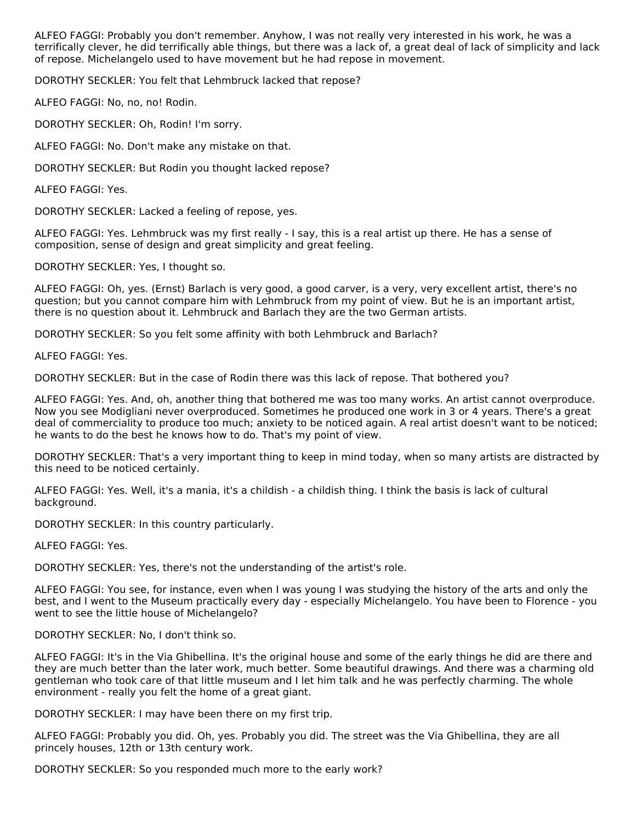ALFEO FAGGI: Probably you don't remember. Anyhow, I was not really very interested in his work, he was a terrifically clever, he did terrifically able things, but there was a lack of, a great deal of lack of simplicity and lack of repose. Michelangelo used to have movement but he had repose in movement.

DOROTHY SECKLER: You felt that Lehmbruck lacked that repose?

ALFEO FAGGI: No, no, no! Rodin.

DOROTHY SECKLER: Oh, Rodin! I'm sorry.

ALFEO FAGGI: No. Don't make any mistake on that.

DOROTHY SECKLER: But Rodin you thought lacked repose?

ALFEO FAGGI: Yes.

DOROTHY SECKLER: Lacked a feeling of repose, yes.

ALFEO FAGGI: Yes. Lehmbruck was my first really - I say, this is a real artist up there. He has a sense of composition, sense of design and great simplicity and great feeling.

DOROTHY SECKLER: Yes, I thought so.

ALFEO FAGGI: Oh, yes. (Ernst) Barlach is very good, a good carver, is a very, very excellent artist, there's no question; but you cannot compare him with Lehmbruck from my point of view. But he is an important artist, there is no question about it. Lehmbruck and Barlach they are the two German artists.

DOROTHY SECKLER: So you felt some affinity with both Lehmbruck and Barlach?

ALFEO FAGGI: Yes.

DOROTHY SECKLER: But in the case of Rodin there was this lack of repose. That bothered you?

ALFEO FAGGI: Yes. And, oh, another thing that bothered me was too many works. An artist cannot overproduce. Now you see Modigliani never overproduced. Sometimes he produced one work in 3 or 4 years. There's a great deal of commerciality to produce too much; anxiety to be noticed again. A real artist doesn't want to be noticed; he wants to do the best he knows how to do. That's my point of view.

DOROTHY SECKLER: That's a very important thing to keep in mind today, when so many artists are distracted by this need to be noticed certainly.

ALFEO FAGGI: Yes. Well, it's a mania, it's a childish - a childish thing. I think the basis is lack of cultural background.

DOROTHY SECKLER: In this country particularly.

ALFEO FAGGI: Yes.

DOROTHY SECKLER: Yes, there's not the understanding of the artist's role.

ALFEO FAGGI: You see, for instance, even when I was young I was studying the history of the arts and only the best, and I went to the Museum practically every day - especially Michelangelo. You have been to Florence - you went to see the little house of Michelangelo?

DOROTHY SECKLER: No, I don't think so.

ALFEO FAGGI: It's in the Via Ghibellina. It's the original house and some of the early things he did are there and they are much better than the later work, much better. Some beautiful drawings. And there was a charming old gentleman who took care of that little museum and I let him talk and he was perfectly charming. The whole environment - really you felt the home of a great giant.

DOROTHY SECKLER: I may have been there on my first trip.

ALFEO FAGGI: Probably you did. Oh, yes. Probably you did. The street was the Via Ghibellina, they are all princely houses, 12th or 13th century work.

DOROTHY SECKLER: So you responded much more to the early work?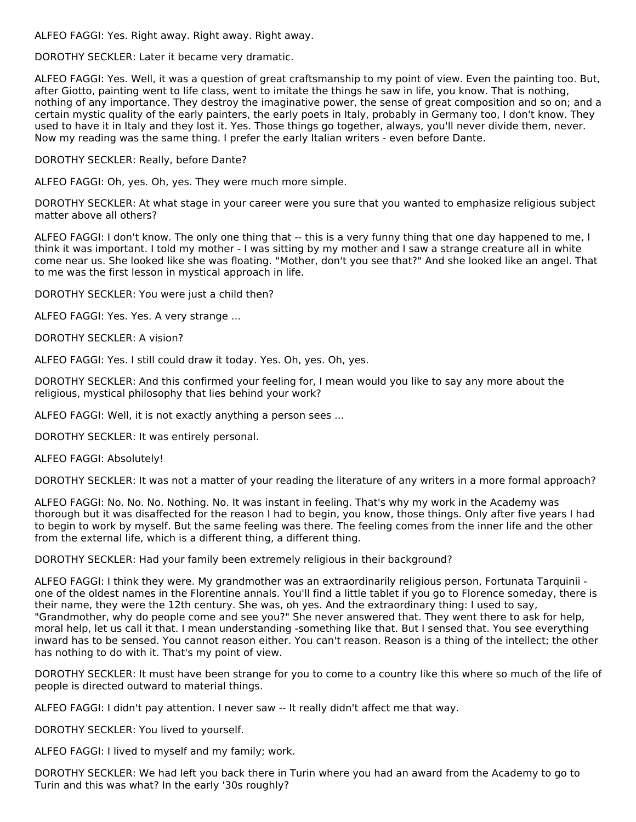ALFEO FAGGI: Yes. Right away. Right away. Right away.

DOROTHY SECKLER: Later it became very dramatic.

ALFEO FAGGI: Yes. Well, it was a question of great craftsmanship to my point of view. Even the painting too. But, after Giotto, painting went to life class, went to imitate the things he saw in life, you know. That is nothing, nothing of any importance. They destroy the imaginative power, the sense of great composition and so on; and a certain mystic quality of the early painters, the early poets in Italy, probably in Germany too, I don't know. They used to have it in Italy and they lost it. Yes. Those things go together, always, you'll never divide them, never. Now my reading was the same thing. I prefer the early Italian writers - even before Dante.

#### DOROTHY SECKLER: Really, before Dante?

ALFEO FAGGI: Oh, yes. Oh, yes. They were much more simple.

DOROTHY SECKLER: At what stage in your career were you sure that you wanted to emphasize religious subject matter above all others?

ALFEO FAGGI: I don't know. The only one thing that -- this is a very funny thing that one day happened to me, I think it was important. I told my mother - I was sitting by my mother and I saw a strange creature all in white come near us. She looked like she was floating. "Mother, don't you see that?" And she looked like an angel. That to me was the first lesson in mystical approach in life.

DOROTHY SECKLER: You were just a child then?

ALFEO FAGGI: Yes. Yes. A very strange ...

DOROTHY SECKLER: A vision?

ALFEO FAGGI: Yes. I still could draw it today. Yes. Oh, yes. Oh, yes.

DOROTHY SECKLER: And this confirmed your feeling for, I mean would you like to say any more about the religious, mystical philosophy that lies behind your work?

ALFEO FAGGI: Well, it is not exactly anything a person sees ...

DOROTHY SECKLER: It was entirely personal.

ALFEO FAGGI: Absolutely!

DOROTHY SECKLER: It was not a matter of your reading the literature of any writers in a more formal approach?

ALFEO FAGGI: No. No. No. Nothing. No. It was instant in feeling. That's why my work in the Academy was thorough but it was disaffected for the reason I had to begin, you know, those things. Only after five years I had to begin to work by myself. But the same feeling was there. The feeling comes from the inner life and the other from the external life, which is a different thing, a different thing.

DOROTHY SECKLER: Had your family been extremely religious in their background?

ALFEO FAGGI: I think they were. My grandmother was an extraordinarily religious person, Fortunata Tarquinii one of the oldest names in the Florentine annals. You'll find a little tablet if you go to Florence someday, there is their name, they were the 12th century. She was, oh yes. And the extraordinary thing: I used to say, "Grandmother, why do people come and see you?" She never answered that. They went there to ask for help, moral help, let us call it that. I mean understanding -something like that. But I sensed that. You see everything inward has to be sensed. You cannot reason either. You can't reason. Reason is a thing of the intellect; the other has nothing to do with it. That's my point of view.

DOROTHY SECKLER: It must have been strange for you to come to a country like this where so much of the life of people is directed outward to material things.

ALFEO FAGGI: I didn't pay attention. I never saw -- It really didn't affect me that way.

DOROTHY SECKLER: You lived to yourself.

ALFEO FAGGI: I lived to myself and my family; work.

DOROTHY SECKLER: We had left you back there in Turin where you had an award from the Academy to go to Turin and this was what? In the early '30s roughly?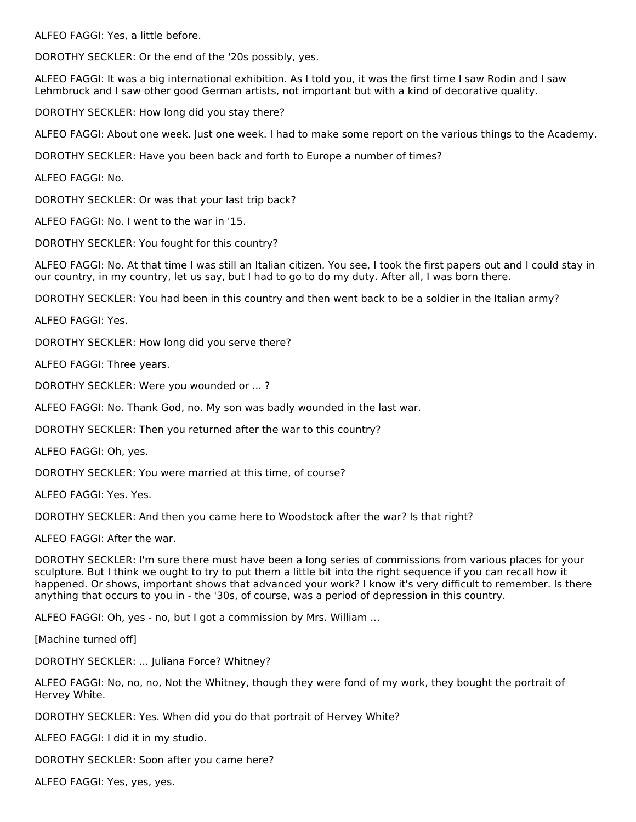ALFEO FAGGI: Yes, a little before.

DOROTHY SECKLER: Or the end of the '20s possibly, yes.

ALFEO FAGGI: It was a big international exhibition. As I told you, it was the first time I saw Rodin and I saw Lehmbruck and I saw other good German artists, not important but with a kind of decorative quality.

DOROTHY SECKLER: How long did you stay there?

ALFEO FAGGI: About one week. Just one week. I had to make some report on the various things to the Academy.

DOROTHY SECKLER: Have you been back and forth to Europe a number of times?

ALFEO FAGGI: No.

DOROTHY SECKLER: Or was that your last trip back?

ALFEO FAGGI: No. I went to the war in '15.

DOROTHY SECKLER: You fought for this country?

ALFEO FAGGI: No. At that time I was still an Italian citizen. You see, I took the first papers out and I could stay in our country, in my country, let us say, but I had to go to do my duty. After all, I was born there.

DOROTHY SECKLER: You had been in this country and then went back to be a soldier in the Italian army?

ALFEO FAGGI: Yes.

DOROTHY SECKLER: How long did you serve there?

ALFEO FAGGI: Three years.

DOROTHY SECKLER: Were you wounded or ... ?

ALFEO FAGGI: No. Thank God, no. My son was badly wounded in the last war.

DOROTHY SECKLER: Then you returned after the war to this country?

ALFEO FAGGI: Oh, yes.

DOROTHY SECKLER: You were married at this time, of course?

ALFEO FAGGI: Yes. Yes.

DOROTHY SECKLER: And then you came here to Woodstock after the war? Is that right?

ALFEO FAGGI: After the war.

DOROTHY SECKLER: I'm sure there must have been a long series of commissions from various places for your sculpture. But I think we ought to try to put them a little bit into the right sequence if you can recall how it happened. Or shows, important shows that advanced your work? I know it's very difficult to remember. Is there anything that occurs to you in - the '30s, of course, was a period of depression in this country.

ALFEO FAGGI: Oh, yes - no, but I got a commission by Mrs. William ...

[Machine turned off]

DOROTHY SECKLER: ... Juliana Force? Whitney?

ALFEO FAGGI: No, no, no, Not the Whitney, though they were fond of my work, they bought the portrait of Hervey White.

DOROTHY SECKLER: Yes. When did you do that portrait of Hervey White?

ALFEO FAGGI: I did it in my studio.

DOROTHY SECKLER: Soon after you came here?

ALFEO FAGGI: Yes, yes, yes.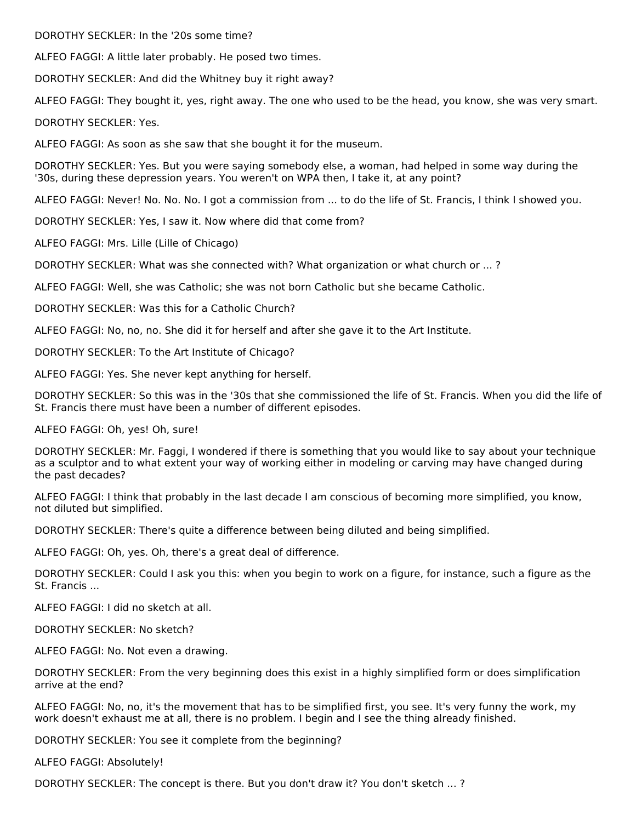DOROTHY SECKLER: In the '20s some time?

ALFEO FAGGI: A little later probably. He posed two times.

DOROTHY SECKLER: And did the Whitney buy it right away?

ALFEO FAGGI: They bought it, yes, right away. The one who used to be the head, you know, she was very smart.

DOROTHY SECKLER: Yes.

ALFEO FAGGI: As soon as she saw that she bought it for the museum.

DOROTHY SECKLER: Yes. But you were saying somebody else, a woman, had helped in some way during the '30s, during these depression years. You weren't on WPA then, I take it, at any point?

ALFEO FAGGI: Never! No. No. No. I got a commission from ... to do the life of St. Francis, I think I showed you.

DOROTHY SECKLER: Yes, I saw it. Now where did that come from?

ALFEO FAGGI: Mrs. Lille (Lille of Chicago)

DOROTHY SECKLER: What was she connected with? What organization or what church or ... ?

ALFEO FAGGI: Well, she was Catholic; she was not born Catholic but she became Catholic.

DOROTHY SECKLER: Was this for a Catholic Church?

ALFEO FAGGI: No, no, no. She did it for herself and after she gave it to the Art Institute.

DOROTHY SECKLER: To the Art Institute of Chicago?

ALFEO FAGGI: Yes. She never kept anything for herself.

DOROTHY SECKLER: So this was in the '30s that she commissioned the life of St. Francis. When you did the life of St. Francis there must have been a number of different episodes.

ALFEO FAGGI: Oh, yes! Oh, sure!

DOROTHY SECKLER: Mr. Faggi, I wondered if there is something that you would like to say about your technique as a sculptor and to what extent your way of working either in modeling or carving may have changed during the past decades?

ALFEO FAGGI: I think that probably in the last decade I am conscious of becoming more simplified, you know, not diluted but simplified.

DOROTHY SECKLER: There's quite a difference between being diluted and being simplified.

ALFEO FAGGI: Oh, yes. Oh, there's a great deal of difference.

DOROTHY SECKLER: Could I ask you this: when you begin to work on a figure, for instance, such a figure as the St. Francis ...

ALFEO FAGGI: I did no sketch at all.

DOROTHY SECKLER: No sketch?

ALFEO FAGGI: No. Not even a drawing.

DOROTHY SECKLER: From the very beginning does this exist in a highly simplified form or does simplification arrive at the end?

ALFEO FAGGI: No, no, it's the movement that has to be simplified first, you see. It's very funny the work, my work doesn't exhaust me at all, there is no problem. I begin and I see the thing already finished.

DOROTHY SECKLER: You see it complete from the beginning?

ALFEO FAGGI: Absolutely!

DOROTHY SECKLER: The concept is there. But you don't draw it? You don't sketch ... ?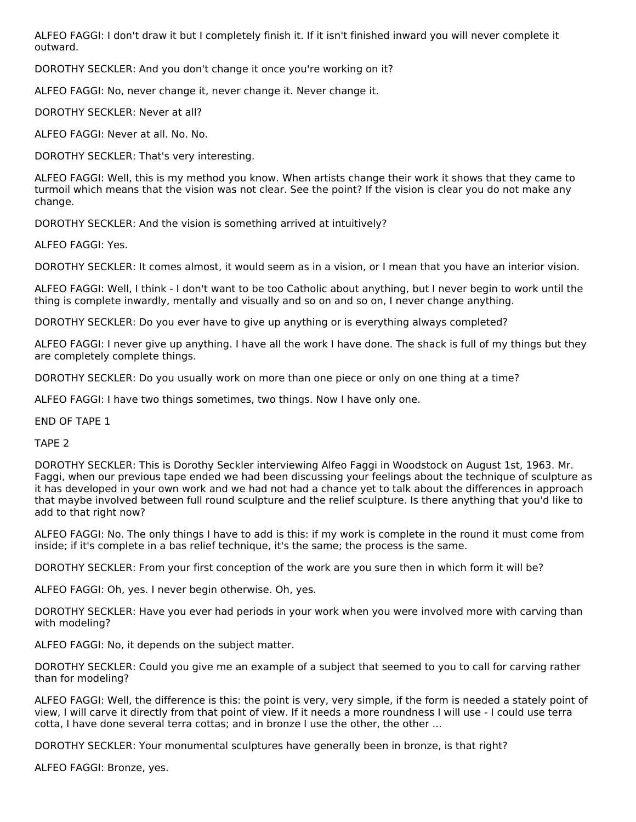ALFEO FAGGI: I don't draw it but I completely finish it. If it isn't finished inward you will never complete it outward.

DOROTHY SECKLER: And you don't change it once you're working on it?

ALFEO FAGGI: No, never change it, never change it. Never change it.

DOROTHY SECKLER: Never at all?

ALFEO FAGGI: Never at all. No. No.

DOROTHY SECKLER: That's very interesting.

ALFEO FAGGI: Well, this is my method you know. When artists change their work it shows that they came to turmoil which means that the vision was not clear. See the point? If the vision is clear you do not make any change.

DOROTHY SECKLER: And the vision is something arrived at intuitively?

ALFEO FAGGI: Yes.

DOROTHY SECKLER: It comes almost, it would seem as in a vision, or I mean that you have an interior vision.

ALFEO FAGGI: Well, I think - I don't want to be too Catholic about anything, but I never begin to work until the thing is complete inwardly, mentally and visually and so on and so on, I never change anything.

DOROTHY SECKLER: Do you ever have to give up anything or is everything always completed?

ALFEO FAGGI: I never give up anything. I have all the work I have done. The shack is full of my things but they are completely complete things.

DOROTHY SECKLER: Do you usually work on more than one piece or only on one thing at a time?

ALFEO FAGGI: I have two things sometimes, two things. Now I have only one.

END OF TAPE 1

TAPE 2

DOROTHY SECKLER: This is Dorothy Seckler interviewing Alfeo Faggi in Woodstock on August 1st, 1963. Mr. Faggi, when our previous tape ended we had been discussing your feelings about the technique of sculpture as it has developed in your own work and we had not had a chance yet to talk about the differences in approach that maybe involved between full round sculpture and the relief sculpture. Is there anything that you'd like to add to that right now?

ALFEO FAGGI: No. The only things I have to add is this: if my work is complete in the round it must come from inside; if it's complete in a bas relief technique, it's the same; the process is the same.

DOROTHY SECKLER: From your first conception of the work are you sure then in which form it will be?

ALFEO FAGGI: Oh, yes. I never begin otherwise. Oh, yes.

DOROTHY SECKLER: Have you ever had periods in your work when you were involved more with carving than with modeling?

ALFEO FAGGI: No, it depends on the subject matter.

DOROTHY SECKLER: Could you give me an example of a subject that seemed to you to call for carving rather than for modeling?

ALFEO FAGGI: Well, the difference is this: the point is very, very simple, if the form is needed a stately point of view, I will carve it directly from that point of view. If it needs a more roundness I will use - I could use terra cotta, I have done several terra cottas; and in bronze I use the other, the other ...

DOROTHY SECKLER: Your monumental sculptures have generally been in bronze, is that right?

ALFEO FAGGI: Bronze, yes.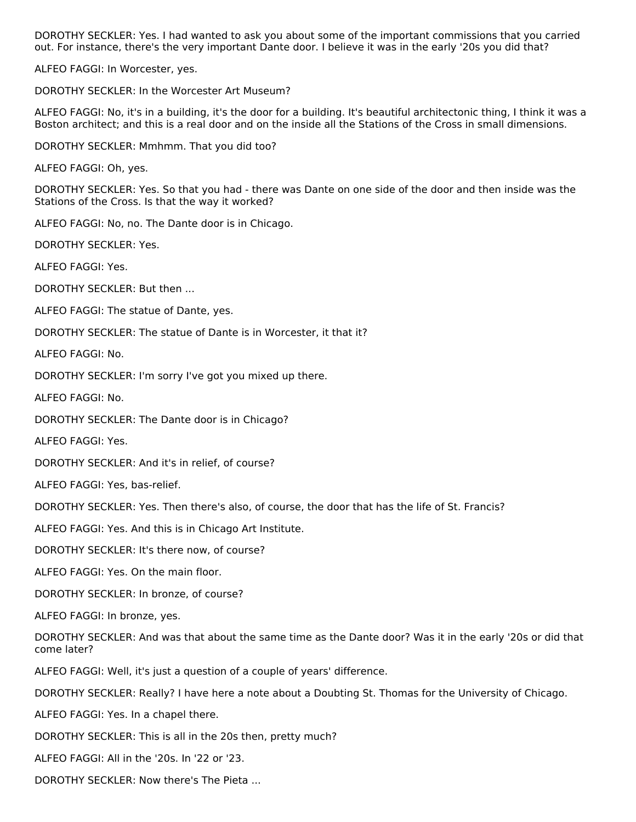DOROTHY SECKLER: Yes. I had wanted to ask you about some of the important commissions that you carried out. For instance, there's the very important Dante door. I believe it was in the early '20s you did that?

ALFEO FAGGI: In Worcester, yes.

DOROTHY SECKLER: In the Worcester Art Museum?

ALFEO FAGGI: No, it's in a building, it's the door for a building. It's beautiful architectonic thing, I think it was a Boston architect; and this is a real door and on the inside all the Stations of the Cross in small dimensions.

DOROTHY SECKLER: Mmhmm. That you did too?

ALFEO FAGGI: Oh, yes.

DOROTHY SECKLER: Yes. So that you had - there was Dante on one side of the door and then inside was the Stations of the Cross. Is that the way it worked?

ALFEO FAGGI: No, no. The Dante door is in Chicago.

DOROTHY SECKLER: Yes.

ALFEO FAGGI: Yes.

DOROTHY SECKLER: But then ...

ALFEO FAGGI: The statue of Dante, yes.

DOROTHY SECKLER: The statue of Dante is in Worcester, it that it?

ALFEO FAGGI: No.

DOROTHY SECKLER: I'm sorry I've got you mixed up there.

ALFEO FAGGI: No.

DOROTHY SECKLER: The Dante door is in Chicago?

ALFEO FAGGI: Yes.

DOROTHY SECKLER: And it's in relief, of course?

ALFEO FAGGI: Yes, bas-relief.

DOROTHY SECKLER: Yes. Then there's also, of course, the door that has the life of St. Francis?

ALFEO FAGGI: Yes. And this is in Chicago Art Institute.

DOROTHY SECKLER: It's there now, of course?

ALFEO FAGGI: Yes. On the main floor.

DOROTHY SECKLER: In bronze, of course?

ALFEO FAGGI: In bronze, yes.

DOROTHY SECKLER: And was that about the same time as the Dante door? Was it in the early '20s or did that come later?

ALFEO FAGGI: Well, it's just a question of a couple of years' difference.

DOROTHY SECKLER: Really? I have here a note about a Doubting St. Thomas for the University of Chicago.

ALFEO FAGGI: Yes. In a chapel there.

DOROTHY SECKLER: This is all in the 20s then, pretty much?

ALFEO FAGGI: All in the '20s. In '22 or '23.

DOROTHY SECKLER: Now there's The Pieta ...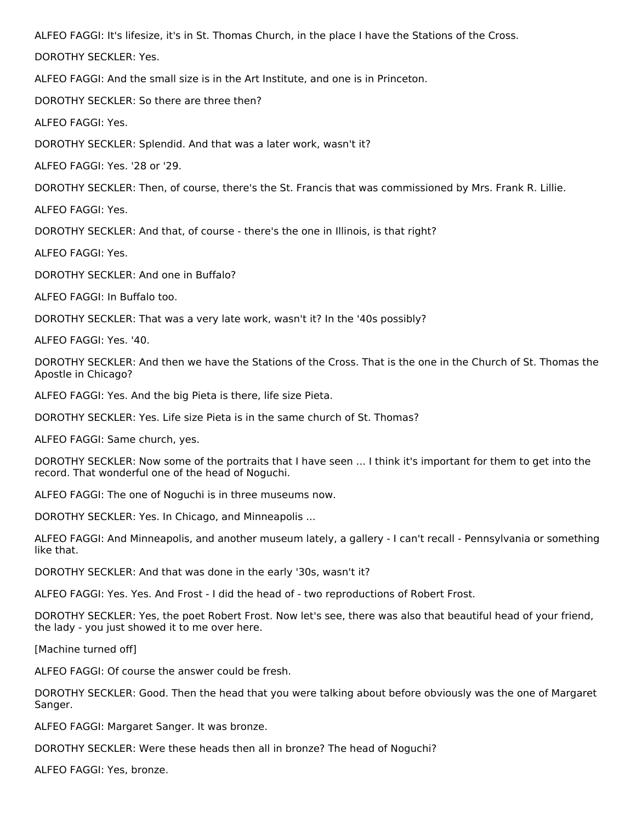ALFEO FAGGI: It's lifesize, it's in St. Thomas Church, in the place I have the Stations of the Cross.

DOROTHY SECKLER: Yes.

ALFEO FAGGI: And the small size is in the Art Institute, and one is in Princeton.

DOROTHY SECKLER: So there are three then?

ALFEO FAGGI: Yes.

DOROTHY SECKLER: Splendid. And that was a later work, wasn't it?

ALFEO FAGGI: Yes. '28 or '29.

DOROTHY SECKLER: Then, of course, there's the St. Francis that was commissioned by Mrs. Frank R. Lillie.

ALFEO FAGGI: Yes.

DOROTHY SECKLER: And that, of course - there's the one in Illinois, is that right?

ALFEO FAGGI: Yes.

DOROTHY SECKLER: And one in Buffalo?

ALFEO FAGGI: In Buffalo too.

DOROTHY SECKLER: That was a very late work, wasn't it? In the '40s possibly?

ALFEO FAGGI: Yes. '40.

DOROTHY SECKLER: And then we have the Stations of the Cross. That is the one in the Church of St. Thomas the Apostle in Chicago?

ALFEO FAGGI: Yes. And the big Pieta is there, life size Pieta.

DOROTHY SECKLER: Yes. Life size Pieta is in the same church of St. Thomas?

ALFEO FAGGI: Same church, yes.

DOROTHY SECKLER: Now some of the portraits that I have seen ... I think it's important for them to get into the record. That wonderful one of the head of Noguchi.

ALFEO FAGGI: The one of Noguchi is in three museums now.

DOROTHY SECKLER: Yes. In Chicago, and Minneapolis ...

ALFEO FAGGI: And Minneapolis, and another museum lately, a gallery - I can't recall - Pennsylvania or something like that.

DOROTHY SECKLER: And that was done in the early '30s, wasn't it?

ALFEO FAGGI: Yes. Yes. And Frost - I did the head of - two reproductions of Robert Frost.

DOROTHY SECKLER: Yes, the poet Robert Frost. Now let's see, there was also that beautiful head of your friend, the lady - you just showed it to me over here.

[Machine turned off]

ALFEO FAGGI: Of course the answer could be fresh.

DOROTHY SECKLER: Good. Then the head that you were talking about before obviously was the one of Margaret Sanger.

ALFEO FAGGI: Margaret Sanger. It was bronze.

DOROTHY SECKLER: Were these heads then all in bronze? The head of Noguchi?

ALFEO FAGGI: Yes, bronze.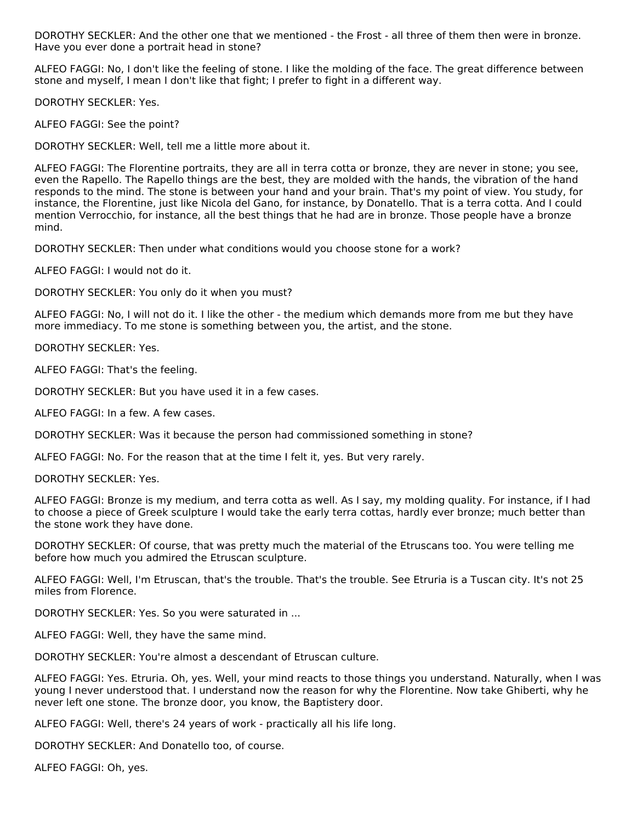DOROTHY SECKLER: And the other one that we mentioned - the Frost - all three of them then were in bronze. Have you ever done a portrait head in stone?

ALFEO FAGGI: No, I don't like the feeling of stone. I like the molding of the face. The great difference between stone and myself, I mean I don't like that fight; I prefer to fight in a different way.

DOROTHY SECKLER: Yes.

ALFEO FAGGI: See the point?

DOROTHY SECKLER: Well, tell me a little more about it.

ALFEO FAGGI: The Florentine portraits, they are all in terra cotta or bronze, they are never in stone; you see, even the Rapello. The Rapello things are the best, they are molded with the hands, the vibration of the hand responds to the mind. The stone is between your hand and your brain. That's my point of view. You study, for instance, the Florentine, just like Nicola del Gano, for instance, by Donatello. That is a terra cotta. And I could mention Verrocchio, for instance, all the best things that he had are in bronze. Those people have a bronze mind.

DOROTHY SECKLER: Then under what conditions would you choose stone for a work?

ALFEO FAGGI: I would not do it.

DOROTHY SECKLER: You only do it when you must?

ALFEO FAGGI: No, I will not do it. I like the other - the medium which demands more from me but they have more immediacy. To me stone is something between you, the artist, and the stone.

DOROTHY SECKLER: Yes.

ALFEO FAGGI: That's the feeling.

DOROTHY SECKLER: But you have used it in a few cases.

ALFEO FAGGI: In a few. A few cases.

DOROTHY SECKLER: Was it because the person had commissioned something in stone?

ALFEO FAGGI: No. For the reason that at the time I felt it, yes. But very rarely.

DOROTHY SECKLER: Yes.

ALFEO FAGGI: Bronze is my medium, and terra cotta as well. As I say, my molding quality. For instance, if I had to choose a piece of Greek sculpture I would take the early terra cottas, hardly ever bronze; much better than the stone work they have done.

DOROTHY SECKLER: Of course, that was pretty much the material of the Etruscans too. You were telling me before how much you admired the Etruscan sculpture.

ALFEO FAGGI: Well, I'm Etruscan, that's the trouble. That's the trouble. See Etruria is a Tuscan city. It's not 25 miles from Florence.

DOROTHY SECKLER: Yes. So you were saturated in ...

ALFEO FAGGI: Well, they have the same mind.

DOROTHY SECKLER: You're almost a descendant of Etruscan culture.

ALFEO FAGGI: Yes. Etruria. Oh, yes. Well, your mind reacts to those things you understand. Naturally, when I was young I never understood that. I understand now the reason for why the Florentine. Now take Ghiberti, why he never left one stone. The bronze door, you know, the Baptistery door.

ALFEO FAGGI: Well, there's 24 years of work - practically all his life long.

DOROTHY SECKLER: And Donatello too, of course.

ALFEO FAGGI: Oh, yes.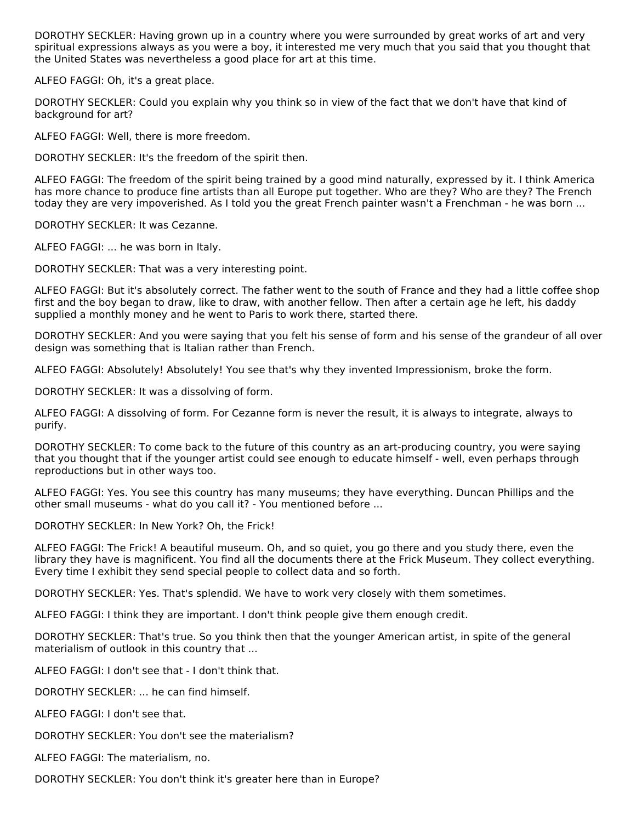DOROTHY SECKLER: Having grown up in a country where you were surrounded by great works of art and very spiritual expressions always as you were a boy, it interested me very much that you said that you thought that the United States was nevertheless a good place for art at this time.

ALFEO FAGGI: Oh, it's a great place.

DOROTHY SECKLER: Could you explain why you think so in view of the fact that we don't have that kind of background for art?

ALFEO FAGGI: Well, there is more freedom.

DOROTHY SECKLER: It's the freedom of the spirit then.

ALFEO FAGGI: The freedom of the spirit being trained by a good mind naturally, expressed by it. I think America has more chance to produce fine artists than all Europe put together. Who are they? Who are they? The French today they are very impoverished. As I told you the great French painter wasn't a Frenchman - he was born ...

DOROTHY SECKLER: It was Cezanne.

ALFEO FAGGI: ... he was born in Italy.

DOROTHY SECKLER: That was a very interesting point.

ALFEO FAGGI: But it's absolutely correct. The father went to the south of France and they had a little coffee shop first and the boy began to draw, like to draw, with another fellow. Then after a certain age he left, his daddy supplied a monthly money and he went to Paris to work there, started there.

DOROTHY SECKLER: And you were saying that you felt his sense of form and his sense of the grandeur of all over design was something that is Italian rather than French.

ALFEO FAGGI: Absolutely! Absolutely! You see that's why they invented Impressionism, broke the form.

DOROTHY SECKLER: It was a dissolving of form.

ALFEO FAGGI: A dissolving of form. For Cezanne form is never the result, it is always to integrate, always to purify.

DOROTHY SECKLER: To come back to the future of this country as an art-producing country, you were saying that you thought that if the younger artist could see enough to educate himself - well, even perhaps through reproductions but in other ways too.

ALFEO FAGGI: Yes. You see this country has many museums; they have everything. Duncan Phillips and the other small museums - what do you call it? - You mentioned before ...

DOROTHY SECKLER: In New York? Oh, the Frick!

ALFEO FAGGI: The Frick! A beautiful museum. Oh, and so quiet, you go there and you study there, even the library they have is magnificent. You find all the documents there at the Frick Museum. They collect everything. Every time I exhibit they send special people to collect data and so forth.

DOROTHY SECKLER: Yes. That's splendid. We have to work very closely with them sometimes.

ALFEO FAGGI: I think they are important. I don't think people give them enough credit.

DOROTHY SECKLER: That's true. So you think then that the younger American artist, in spite of the general materialism of outlook in this country that ...

ALFEO FAGGI: I don't see that - I don't think that.

DOROTHY SECKLER: ... he can find himself.

ALFEO FAGGI: I don't see that.

DOROTHY SECKLER: You don't see the materialism?

ALFEO FAGGI: The materialism, no.

DOROTHY SECKLER: You don't think it's greater here than in Europe?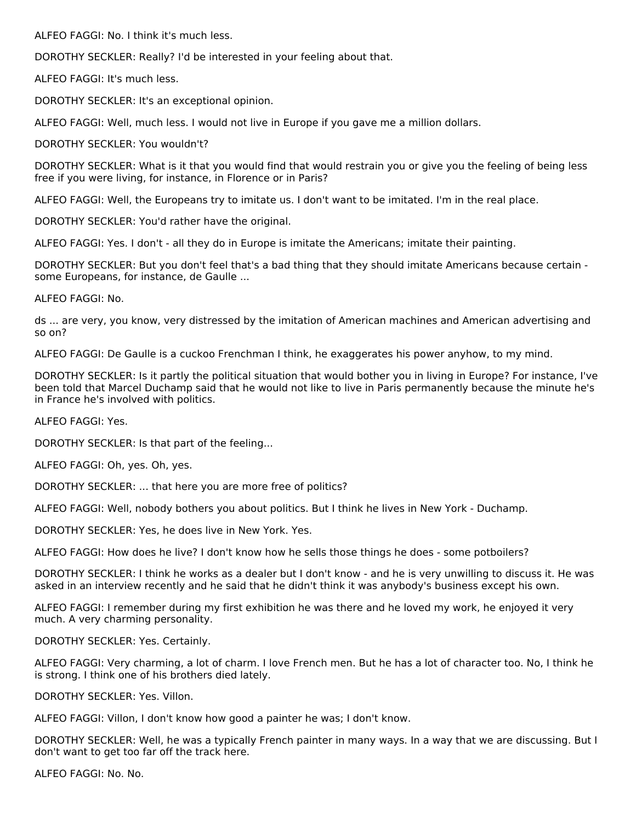ALFEO FAGGI: No. I think it's much less.

DOROTHY SECKLER: Really? I'd be interested in your feeling about that.

ALFEO FAGGI: It's much less.

DOROTHY SECKLER: It's an exceptional opinion.

ALFEO FAGGI: Well, much less. I would not live in Europe if you gave me a million dollars.

DOROTHY SECKLER: You wouldn't?

DOROTHY SECKLER: What is it that you would find that would restrain you or give you the feeling of being less free if you were living, for instance, in Florence or in Paris?

ALFEO FAGGI: Well, the Europeans try to imitate us. I don't want to be imitated. I'm in the real place.

DOROTHY SECKLER: You'd rather have the original.

ALFEO FAGGI: Yes. I don't - all they do in Europe is imitate the Americans; imitate their painting.

DOROTHY SECKLER: But you don't feel that's a bad thing that they should imitate Americans because certain some Europeans, for instance, de Gaulle ...

ALFEO FAGGI: No.

ds ... are very, you know, very distressed by the imitation of American machines and American advertising and so on?

ALFEO FAGGI: De Gaulle is a cuckoo Frenchman I think, he exaggerates his power anyhow, to my mind.

DOROTHY SECKLER: Is it partly the political situation that would bother you in living in Europe? For instance, I've been told that Marcel Duchamp said that he would not like to live in Paris permanently because the minute he's in France he's involved with politics.

ALFEO FAGGI: Yes.

DOROTHY SECKLER: Is that part of the feeling...

ALFEO FAGGI: Oh, yes. Oh, yes.

DOROTHY SECKLER: ... that here you are more free of politics?

ALFEO FAGGI: Well, nobody bothers you about politics. But I think he lives in New York - Duchamp.

DOROTHY SECKLER: Yes, he does live in New York. Yes.

ALFEO FAGGI: How does he live? I don't know how he sells those things he does - some potboilers?

DOROTHY SECKLER: I think he works as a dealer but I don't know - and he is very unwilling to discuss it. He was asked in an interview recently and he said that he didn't think it was anybody's business except his own.

ALFEO FAGGI: I remember during my first exhibition he was there and he loved my work, he enjoyed it very much. A very charming personality.

DOROTHY SECKLER: Yes. Certainly.

ALFEO FAGGI: Very charming, a lot of charm. I love French men. But he has a lot of character too. No, I think he is strong. I think one of his brothers died lately.

DOROTHY SECKLER: Yes. Villon.

ALFEO FAGGI: Villon, I don't know how good a painter he was; I don't know.

DOROTHY SECKLER: Well, he was a typically French painter in many ways. In a way that we are discussing. But I don't want to get too far off the track here.

ALFEO FAGGI: No. No.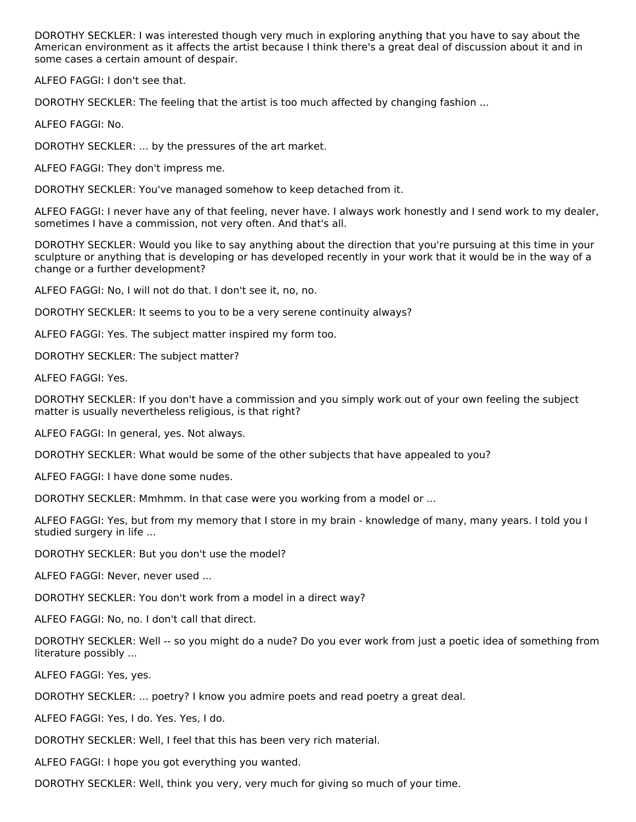DOROTHY SECKLER: I was interested though very much in exploring anything that you have to say about the American environment as it affects the artist because I think there's a great deal of discussion about it and in some cases a certain amount of despair.

ALFEO FAGGI: I don't see that.

DOROTHY SECKLER: The feeling that the artist is too much affected by changing fashion ...

ALFEO FAGGI: No.

DOROTHY SECKLER: ... by the pressures of the art market.

ALFEO FAGGI: They don't impress me.

DOROTHY SECKLER: You've managed somehow to keep detached from it.

ALFEO FAGGI: I never have any of that feeling, never have. I always work honestly and I send work to my dealer, sometimes I have a commission, not very often. And that's all.

DOROTHY SECKLER: Would you like to say anything about the direction that you're pursuing at this time in your sculpture or anything that is developing or has developed recently in your work that it would be in the way of a change or a further development?

ALFEO FAGGI: No, I will not do that. I don't see it, no, no.

DOROTHY SECKLER: It seems to you to be a very serene continuity always?

ALFEO FAGGI: Yes. The subject matter inspired my form too.

DOROTHY SECKLER: The subject matter?

ALFEO FAGGI: Yes.

DOROTHY SECKLER: If you don't have a commission and you simply work out of your own feeling the subject matter is usually nevertheless religious, is that right?

ALFEO FAGGI: In general, yes. Not always.

DOROTHY SECKLER: What would be some of the other subjects that have appealed to you?

ALFEO FAGGI: I have done some nudes.

DOROTHY SECKLER: Mmhmm. In that case were you working from a model or ...

ALFEO FAGGI: Yes, but from my memory that I store in my brain - knowledge of many, many years. I told you I studied surgery in life ...

DOROTHY SECKLER: But you don't use the model?

ALFEO FAGGI: Never, never used ...

DOROTHY SECKLER: You don't work from a model in a direct way?

ALFEO FAGGI: No, no. I don't call that direct.

DOROTHY SECKLER: Well -- so you might do a nude? Do you ever work from just a poetic idea of something from literature possibly ...

ALFEO FAGGI: Yes, yes.

DOROTHY SECKLER: ... poetry? I know you admire poets and read poetry a great deal.

ALFEO FAGGI: Yes, I do. Yes. Yes, I do.

DOROTHY SECKLER: Well, I feel that this has been very rich material.

ALFEO FAGGI: I hope you got everything you wanted.

DOROTHY SECKLER: Well, think you very, very much for giving so much of your time.